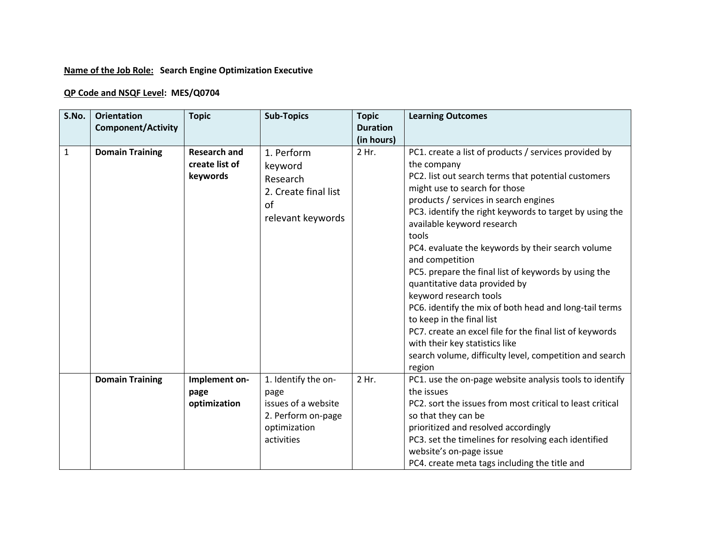## **Name of the Job Role: Search Engine Optimization Executive**

## **QP Code and NSQF Level: MES/Q0704**

| S.No.        | <b>Orientation</b><br><b>Component/Activity</b> | <b>Topic</b>                                      | <b>Sub-Topics</b>                                                                                      | <b>Topic</b><br><b>Duration</b><br>(in hours) | <b>Learning Outcomes</b>                                                                                                                                                                                                                                                                                                                                                                                                                                                                                                                                                                                                                                                                                                                                     |
|--------------|-------------------------------------------------|---------------------------------------------------|--------------------------------------------------------------------------------------------------------|-----------------------------------------------|--------------------------------------------------------------------------------------------------------------------------------------------------------------------------------------------------------------------------------------------------------------------------------------------------------------------------------------------------------------------------------------------------------------------------------------------------------------------------------------------------------------------------------------------------------------------------------------------------------------------------------------------------------------------------------------------------------------------------------------------------------------|
| $\mathbf{1}$ | <b>Domain Training</b>                          | <b>Research and</b><br>create list of<br>keywords | 1. Perform<br>keyword<br>Research<br>2. Create final list<br>of<br>relevant keywords                   | 2 Hr.                                         | PC1. create a list of products / services provided by<br>the company<br>PC2. list out search terms that potential customers<br>might use to search for those<br>products / services in search engines<br>PC3. identify the right keywords to target by using the<br>available keyword research<br>tools<br>PC4. evaluate the keywords by their search volume<br>and competition<br>PC5. prepare the final list of keywords by using the<br>quantitative data provided by<br>keyword research tools<br>PC6. identify the mix of both head and long-tail terms<br>to keep in the final list<br>PC7. create an excel file for the final list of keywords<br>with their key statistics like<br>search volume, difficulty level, competition and search<br>region |
|              | <b>Domain Training</b>                          | Implement on-<br>page<br>optimization             | 1. Identify the on-<br>page<br>issues of a website<br>2. Perform on-page<br>optimization<br>activities | 2 Hr.                                         | PC1. use the on-page website analysis tools to identify<br>the issues<br>PC2. sort the issues from most critical to least critical<br>so that they can be<br>prioritized and resolved accordingly<br>PC3. set the timelines for resolving each identified<br>website's on-page issue<br>PC4. create meta tags including the title and                                                                                                                                                                                                                                                                                                                                                                                                                        |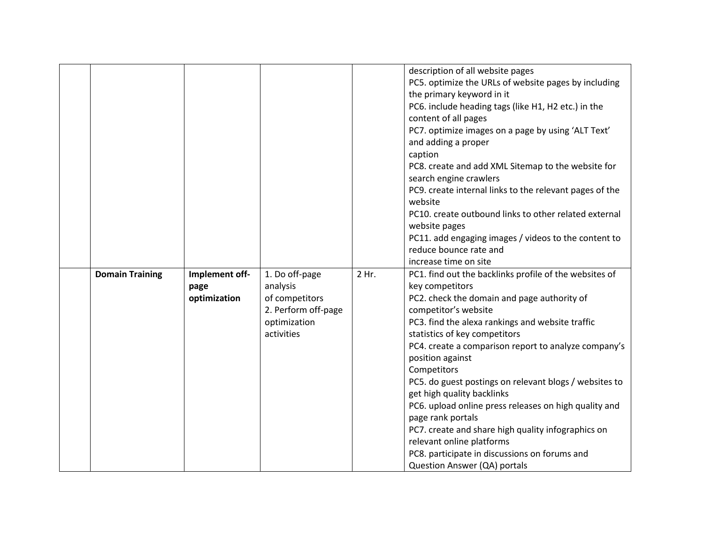|                        |                                        |                                                                                                   |       | description of all website pages<br>PC5. optimize the URLs of website pages by including<br>the primary keyword in it<br>PC6. include heading tags (like H1, H2 etc.) in the<br>content of all pages<br>PC7. optimize images on a page by using 'ALT Text'<br>and adding a proper<br>caption<br>PC8. create and add XML Sitemap to the website for<br>search engine crawlers<br>PC9. create internal links to the relevant pages of the                                                                                                                                                                                                                                    |
|------------------------|----------------------------------------|---------------------------------------------------------------------------------------------------|-------|----------------------------------------------------------------------------------------------------------------------------------------------------------------------------------------------------------------------------------------------------------------------------------------------------------------------------------------------------------------------------------------------------------------------------------------------------------------------------------------------------------------------------------------------------------------------------------------------------------------------------------------------------------------------------|
|                        |                                        |                                                                                                   |       | website<br>PC10. create outbound links to other related external<br>website pages<br>PC11. add engaging images / videos to the content to<br>reduce bounce rate and<br>increase time on site                                                                                                                                                                                                                                                                                                                                                                                                                                                                               |
| <b>Domain Training</b> | Implement off-<br>page<br>optimization | 1. Do off-page<br>analysis<br>of competitors<br>2. Perform off-page<br>optimization<br>activities | 2 Hr. | PC1. find out the backlinks profile of the websites of<br>key competitors<br>PC2. check the domain and page authority of<br>competitor's website<br>PC3. find the alexa rankings and website traffic<br>statistics of key competitors<br>PC4. create a comparison report to analyze company's<br>position against<br>Competitors<br>PC5. do guest postings on relevant blogs / websites to<br>get high quality backlinks<br>PC6. upload online press releases on high quality and<br>page rank portals<br>PC7. create and share high quality infographics on<br>relevant online platforms<br>PC8. participate in discussions on forums and<br>Question Answer (QA) portals |